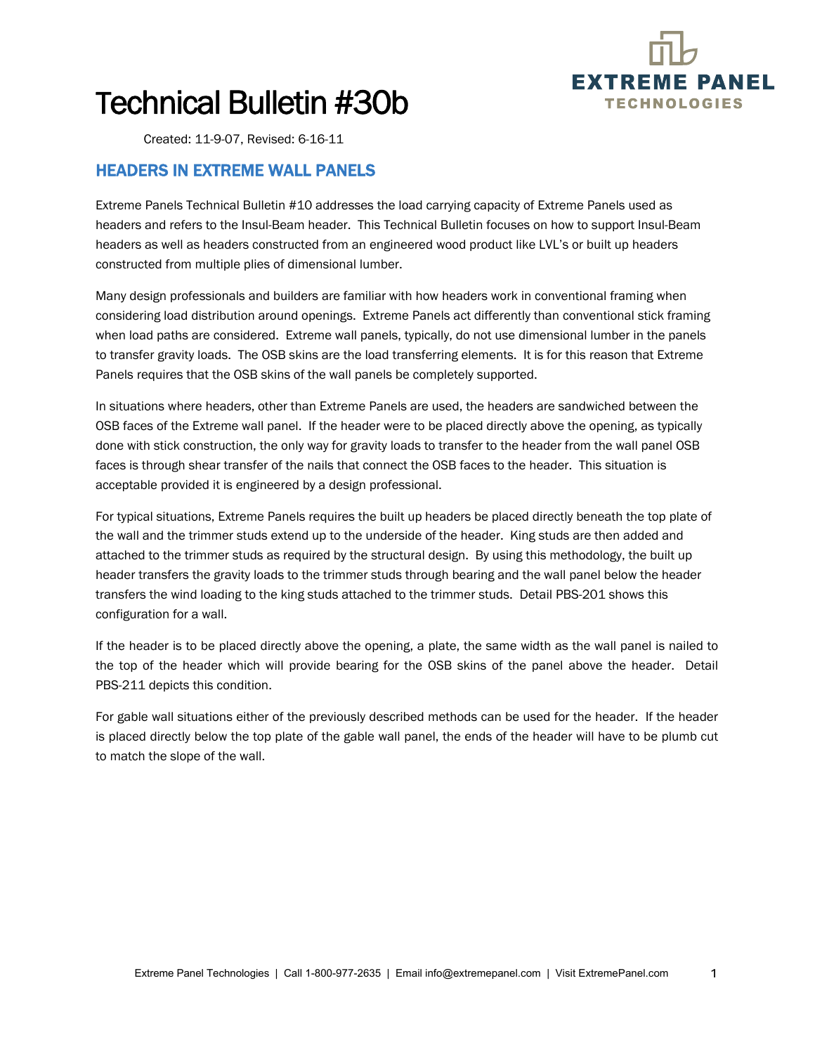

# Technical Bulletin #30b

Created: 11-9-07, Revised: 6-16-11

### HEADERS IN EXTREME WALL PANELS

Extreme Panels Technical Bulletin #10 addresses the load carrying capacity of Extreme Panels used as headers and refers to the Insul-Beam header. This Technical Bulletin focuses on how to support Insul-Beam headers as well as headers constructed from an engineered wood product like LVL's or built up headers constructed from multiple plies of dimensional lumber.

Many design professionals and builders are familiar with how headers work in conventional framing when considering load distribution around openings. Extreme Panels act differently than conventional stick framing when load paths are considered. Extreme wall panels, typically, do not use dimensional lumber in the panels to transfer gravity loads. The OSB skins are the load transferring elements. It is for this reason that Extreme Panels requires that the OSB skins of the wall panels be completely supported.

In situations where headers, other than Extreme Panels are used, the headers are sandwiched between the OSB faces of the Extreme wall panel. If the header were to be placed directly above the opening, as typically done with stick construction, the only way for gravity loads to transfer to the header from the wall panel OSB faces is through shear transfer of the nails that connect the OSB faces to the header. This situation is acceptable provided it is engineered by a design professional.

For typical situations, Extreme Panels requires the built up headers be placed directly beneath the top plate of the wall and the trimmer studs extend up to the underside of the header. King studs are then added and attached to the trimmer studs as required by the structural design. By using this methodology, the built up header transfers the gravity loads to the trimmer studs through bearing and the wall panel below the header transfers the wind loading to the king studs attached to the trimmer studs. Detail PBS-201 shows this configuration for a wall.

If the header is to be placed directly above the opening, a plate, the same width as the wall panel is nailed to the top of the header which will provide bearing for the OSB skins of the panel above the header. Detail PBS-211 depicts this condition.

For gable wall situations either of the previously described methods can be used for the header. If the header is placed directly below the top plate of the gable wall panel, the ends of the header will have to be plumb cut to match the slope of the wall.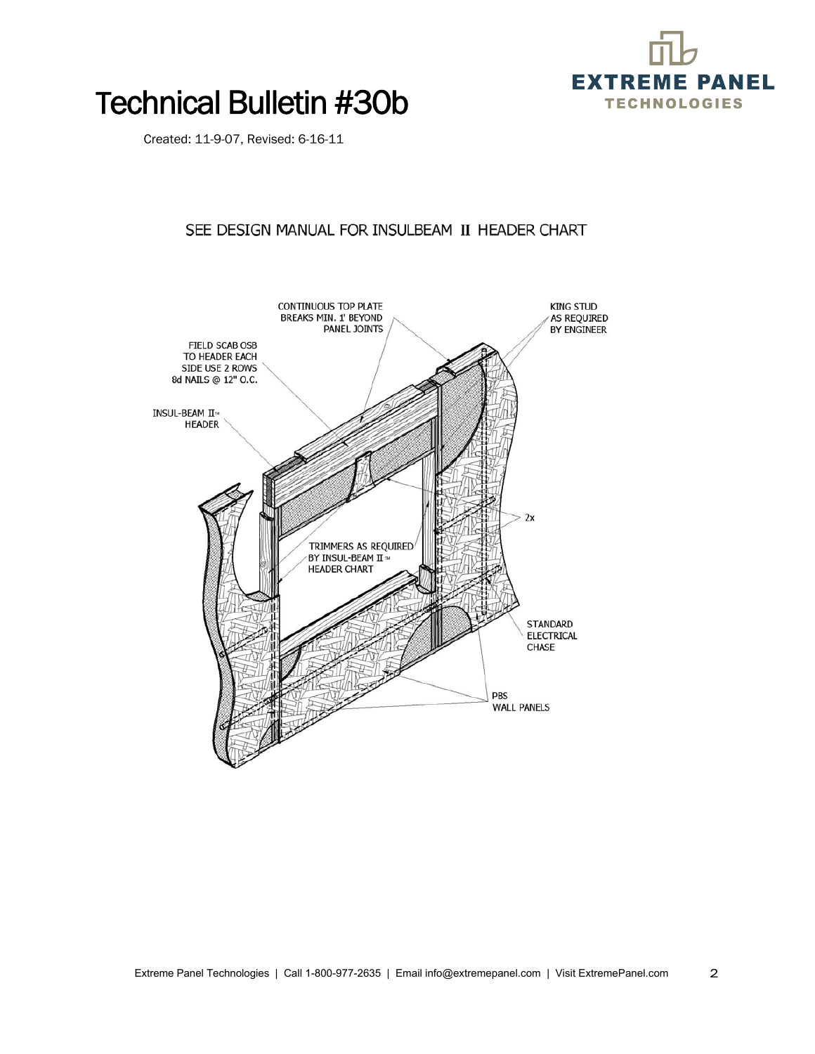

### Technical Bulletin #30b

Created: 11-9-07, Revised: 6-16-11

#### SEE DESIGN MANUAL FOR INSULBEAM II HEADER CHART